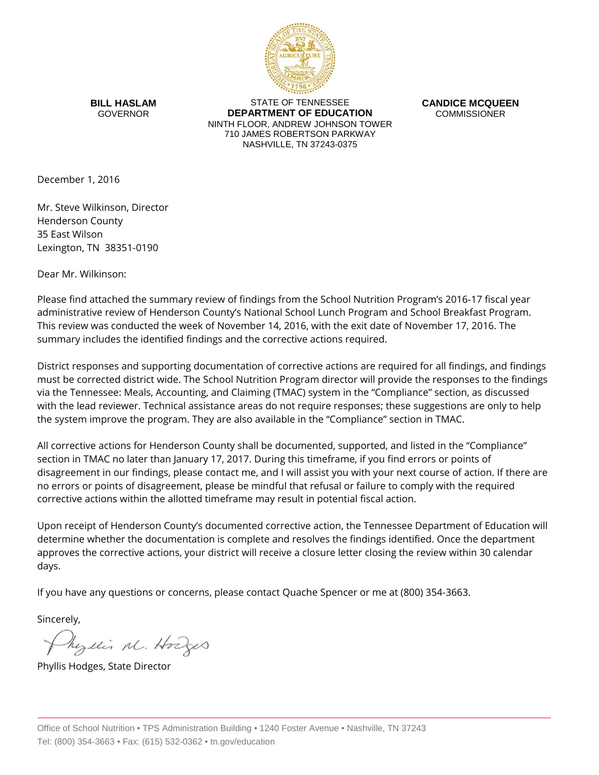

**BILL HASLAM** GOVERNOR

STATE OF TENNESSEE **DEPARTMENT OF EDUCATION** NINTH FLOOR, ANDREW JOHNSON TOWER 710 JAMES ROBERTSON PARKWAY NASHVILLE, TN 37243-0375

**CANDICE MCQUEEN** COMMISSIONER

December 1, 2016

Mr. Steve Wilkinson, Director Henderson County 35 East Wilson Lexington, TN 38351-0190

Dear Mr. Wilkinson:

Please find attached the summary review of findings from the School Nutrition Program's 2016-17 fiscal year administrative review of Henderson County's National School Lunch Program and School Breakfast Program. This review was conducted the week of November 14, 2016, with the exit date of November 17, 2016. The summary includes the identified findings and the corrective actions required.

District responses and supporting documentation of corrective actions are required for all findings, and findings must be corrected district wide. The School Nutrition Program director will provide the responses to the findings via the Tennessee: Meals, Accounting, and Claiming (TMAC) system in the "Compliance" section, as discussed with the lead reviewer. Technical assistance areas do not require responses; these suggestions are only to help the system improve the program. They are also available in the "Compliance" section in TMAC.

All corrective actions for Henderson County shall be documented, supported, and listed in the "Compliance" section in TMAC no later than January 17, 2017. During this timeframe, if you find errors or points of disagreement in our findings, please contact me, and I will assist you with your next course of action. If there are no errors or points of disagreement, please be mindful that refusal or failure to comply with the required corrective actions within the allotted timeframe may result in potential fiscal action.

Upon receipt of Henderson County's documented corrective action, the Tennessee Department of Education will determine whether the documentation is complete and resolves the findings identified. Once the department approves the corrective actions, your district will receive a closure letter closing the review within 30 calendar days.

If you have any questions or concerns, please contact Quache Spencer or me at (800) 354-3663.

Sincerely,

Myllis M. Hodges

Phyllis Hodges, State Director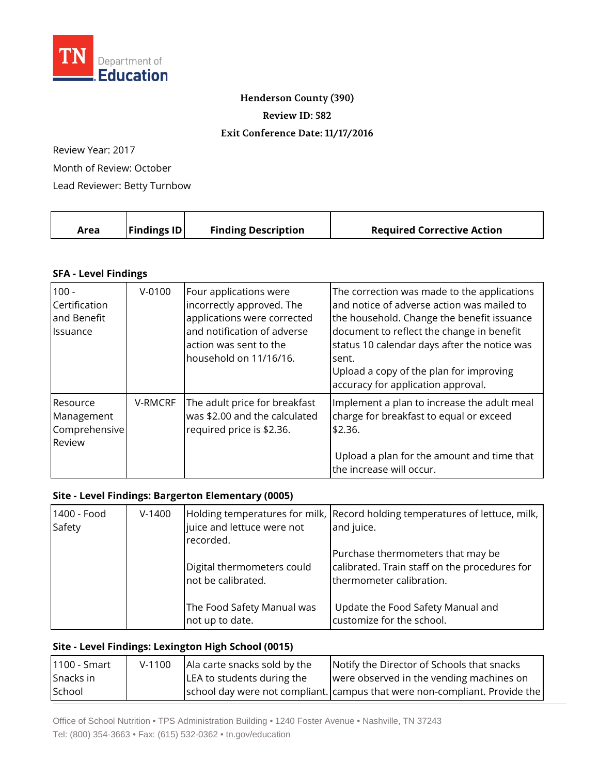

### **Henderson County (390)**

**Review ID: 582**

### **Exit Conference Date: 11/17/2016**

Review Year: 2017

Month of Review: October

Lead Reviewer: Betty Turnbow

|  | Area | <b>Findings ID</b> | <b>Finding Description</b> | <b>Required Corrective Action</b> |
|--|------|--------------------|----------------------------|-----------------------------------|
|--|------|--------------------|----------------------------|-----------------------------------|

## **SFA - Level Findings**

| $100 -$<br>Certification<br>and Benefit<br><b>Issuance</b> | $V-0100$       | Four applications were<br>incorrectly approved. The<br>applications were corrected<br>and notification of adverse<br>action was sent to the<br>household on 11/16/16. | The correction was made to the applications<br>and notice of adverse action was mailed to<br>the household. Change the benefit issuance<br>document to reflect the change in benefit<br>status 10 calendar days after the notice was<br>sent.<br>Upload a copy of the plan for improving<br>accuracy for application approval. |
|------------------------------------------------------------|----------------|-----------------------------------------------------------------------------------------------------------------------------------------------------------------------|--------------------------------------------------------------------------------------------------------------------------------------------------------------------------------------------------------------------------------------------------------------------------------------------------------------------------------|
| Resource<br>Management<br>Comprehensive<br>Review          | <b>V-RMCRF</b> | The adult price for breakfast<br>was \$2.00 and the calculated<br>required price is \$2.36.                                                                           | Implement a plan to increase the adult meal<br>charge for breakfast to equal or exceed<br>\$2.36.<br>Upload a plan for the amount and time that<br>the increase will occur.                                                                                                                                                    |

## **Site - Level Findings: Bargerton Elementary (0005)**

| 1400 - Food<br>Safety | $V-1400$ | juice and lettuce were not<br>recorded.          | Holding temperatures for milk, Record holding temperatures of lettuce, milk,<br>and juice.                     |
|-----------------------|----------|--------------------------------------------------|----------------------------------------------------------------------------------------------------------------|
|                       |          | Digital thermometers could<br>not be calibrated. | Purchase thermometers that may be<br>calibrated. Train staff on the procedures for<br>thermometer calibration. |
|                       |          | The Food Safety Manual was<br>not up to date.    | Update the Food Safety Manual and<br>customize for the school.                                                 |

# **Site - Level Findings: Lexington High School (0015)**

| 1100 - Smart | $V-1100$ | Ala carte snacks sold by the | Notify the Director of Schools that snacks                                 |
|--------------|----------|------------------------------|----------------------------------------------------------------------------|
| Snacks in    |          | LEA to students during the   | were observed in the vending machines on                                   |
| School       |          |                              | school day were not compliant. campus that were non-compliant. Provide the |